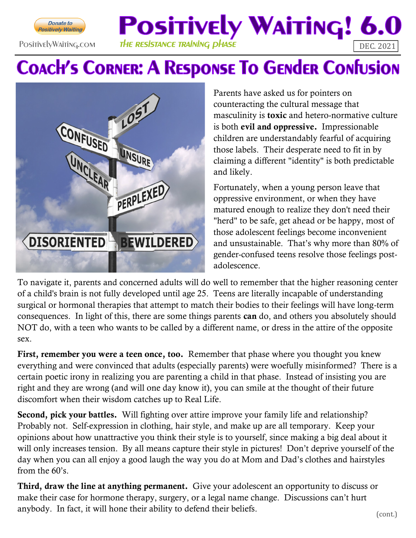

## **Positively Waiting! 6.0** PositivelyWaiting.com THE RESISTANCE TRAINING DHASE THE RESISTANCE TRAINING DHASE

## **COACH'S CORNER: A RESPONSE TO GENDER CONFUSION**



Parents have asked us for pointers on counteracting the cultural message that masculinity is **toxic** and hetero-normative culture is both evil and oppressive. Impressionable children are understandably fearful of acquiring those labels. Their desperate need to fit in by claiming a different "identity" is both predictable and likely.

Fortunately, when a young person leave that oppressive environment, or when they have matured enough to realize they don't need their "herd" to be safe, get ahead or be happy, most of those adolescent feelings become inconvenient and unsustainable. That's why more than 80% of gender-confused teens resolve those feelings postadolescence.

To navigate it, parents and concerned adults will do well to remember that the higher reasoning center of a child's brain is not fully developed until age 25. Teens are literally incapable of understanding surgical or hormonal therapies that attempt to match their bodies to their feelings will have long-term consequences. In light of this, there are some things parents can do, and others you absolutely should NOT do, with a teen who wants to be called by a different name, or dress in the attire of the opposite sex.

First, remember you were a teen once, too. Remember that phase where you thought you knew everything and were convinced that adults (especially parents) were woefully misinformed? There is a certain poetic irony in realizing you are parenting a child in that phase. Instead of insisting you are right and they are wrong (and will one day know it), you can smile at the thought of their future discomfort when their wisdom catches up to Real Life.

Second, pick your battles. Will fighting over attire improve your family life and relationship? Probably not. Self-expression in clothing, hair style, and make up are all temporary. Keep your opinions about how unattractive you think their style is to yourself, since making a big deal about it will only increases tension. By all means capture their style in pictures! Don't deprive yourself of the day when you can all enjoy a good laugh the way you do at Mom and Dad's clothes and hairstyles from the 60's.

Third, draw the line at anything permanent. Give your adolescent an opportunity to discuss or make their case for hormone therapy, surgery, or a legal name change. Discussions can't hurt anybody. In fact, it will hone their ability to defend their beliefs. (cont.)